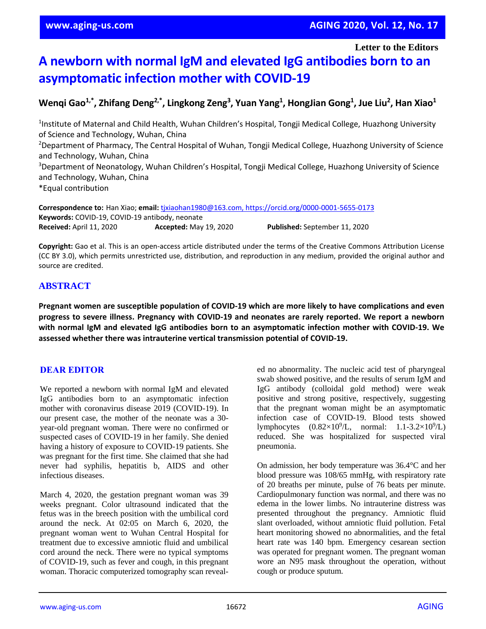**Letter to the Editors**

# **A newborn with normal IgM and elevated IgG antibodies born to an asymptomatic infection mother with COVID-19**

Wenqi Gao $^{1,*}$ , Zhifang Deng $^{2,*}$ , Lingkong Zeng $^3$ , Yuan Yang $^1$ , HongJian Gong $^1$ , Jue Liu $^2$ , Han Xiao $^1$ 

<sup>1</sup>Institute of Maternal and Child Health, Wuhan Children's Hospital, Tongji Medical College, Huazhong University of Science and Technology, Wuhan, China <sup>2</sup>Department of Pharmacy, The Central Hospital of Wuhan, Tongji Medical College, Huazhong University of Science and Technology, Wuhan, China <sup>3</sup>Department of Neonatology, Wuhan Children's Hospital, Tongji Medical College, Huazhong University of Science and Technology, Wuhan, China \*Equal contribution

**Correspondence to:** Han Xiao; **email:** [tjxiaohan1980@163.com,](mailto:tjxiaohan1980@163.com)<https://orcid.org/0000-0001-5655-0173> **Keywords:** COVID-19, COVID-19 antibody, neonate **Received:** April 11, 2020 **Accepted:** May 19, 2020 **Published:** September 11, 2020

**Copyright:** Gao et al. This is an open-access article distributed under the terms of the Creative Commons Attribution License (CC BY 3.0), which permits unrestricted use, distribution, and reproduction in any medium, provided the original author and source are credited.

## **ABSTRACT**

**Pregnant women are susceptible population of COVID-19 which are more likely to have complications and even progress to severe illness. Pregnancy with COVID-19 and neonates are rarely reported. We report a newborn with normal IgM and elevated IgG antibodies born to an asymptomatic infection mother with COVID-19. We assessed whether there was intrauterine vertical transmission potential of COVID-19.**

## **DEAR EDITOR**

We reported a newborn with normal IgM and elevated IgG antibodies born to an asymptomatic infection mother with coronavirus disease 2019 (COVID-19). In our present case, the mother of the neonate was a 30 year-old pregnant woman. There were no confirmed or suspected cases of COVID-19 in her family. She denied having a history of exposure to COVID-19 patients. She was pregnant for the first time. She claimed that she had never had syphilis, hepatitis b, AIDS and other infectious diseases.

March 4, 2020, the gestation pregnant woman was 39 weeks pregnant. Color ultrasound indicated that the fetus was in the breech position with the umbilical cord around the neck. At 02:05 on March 6, 2020, the pregnant woman went to Wuhan Central Hospital for treatment due to excessive amniotic fluid and umbilical cord around the neck. There were no typical symptoms of COVID-19, such as fever and cough, in this pregnant woman. Thoracic computerized tomography scan revealed no abnormality. The nucleic acid test of pharyngeal swab showed positive, and the results of serum IgM and IgG antibody (colloidal gold method) were weak positive and strong positive, respectively, suggesting that the pregnant woman might be an asymptomatic infection case of COVID-19. Blood tests showed lymphocytes  $(0.82 \times 10^9/\text{L}, \text{normal: } 1.1 - 3.2 \times 10^9/\text{L})$ reduced. She was hospitalized for suspected viral pneumonia.

On admission, her body temperature was 36.4°C and her blood pressure was 108/65 mmHg, with respiratory rate of 20 breaths per minute, pulse of 76 beats per minute. Cardiopulmonary function was normal, and there was no edema in the lower limbs. No intrauterine distress was presented throughout the pregnancy. Amniotic fluid slant overloaded, without amniotic fluid pollution. Fetal heart monitoring showed no abnormalities, and the fetal heart rate was 140 bpm. Emergency cesarean section was operated for pregnant women. The pregnant woman wore an N95 mask throughout the operation, without cough or produce sputum.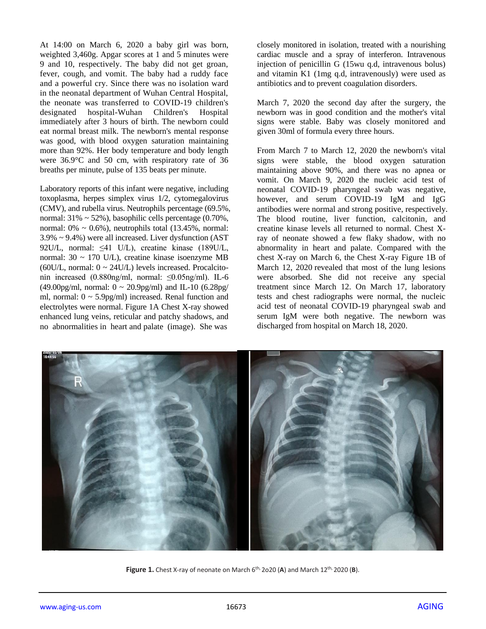At 14:00 on March 6, 2020 a baby girl was born, weighted 3,460g. Apgar scores at 1 and 5 minutes were 9 and 10, respectively. The baby did not get groan, fever, cough, and vomit. The baby had a ruddy face and a powerful cry. Since there was no isolation ward in the neonatal department of Wuhan Central Hospital, the neonate was transferred to COVID-19 children's designated hospital-Wuhan Children's Hospital immediately after 3 hours of birth. The newborn could eat normal breast milk. The newborn's mental response was good, with blood oxygen saturation maintaining more than 92%. Her body temperature and body length were 36.9°C and 50 cm, with respiratory rate of 36 breaths per minute, pulse of 135 beats per minute.

Laboratory reports of this infant were negative, including toxoplasma, herpes simplex virus 1/2, cytomegalovirus (CMV), and rubella virus. Neutrophils percentage (69.5%, normal:  $31\% \sim 52\%$ ), basophilic cells percentage (0.70%, normal:  $0\% \sim 0.6\%$ ), neutrophils total (13.45%, normal: 3.9% ~ 9.4%) were all increased. Liver dysfunction (AST 92U/L, normal: ≤41 U/L), creatine kinase (189U/L, normal: 30 ~ 170 U/L), creatine kinase isoenzyme MB (60U/L, normal:  $0 \sim 24$ U/L) levels increased. Procalcitonin increased (0.880ng/ml, normal: ≤0.05ng/ml). IL-6 (49.00pg/ml, normal:  $0 \sim 20.9$ pg/ml) and IL-10 (6.28pg/ ml, normal:  $0 \sim 5.9$ pg/ml) increased. Renal function and electrolytes were normal. Figure 1A Chest X-ray showed enhanced lung veins, reticular and patchy shadows, and no abnormalities in heart and palate (image). She was

closely monitored in isolation, treated with a nourishing cardiac muscle and a spray of interferon. Intravenous injection of penicillin G (15wu q.d, intravenous bolus) and vitamin K1 (1mg q.d, intravenously) were used as antibiotics and to prevent coagulation disorders.

March 7, 2020 the second day after the surgery, the newborn was in good condition and the mother's vital signs were stable. Baby was closely monitored and given 30ml of formula every three hours.

From March 7 to March 12, 2020 the newborn's vital signs were stable, the blood oxygen saturation maintaining above 90%, and there was no apnea or vomit. On March 9, 2020 the nucleic acid test of neonatal COVID-19 pharyngeal swab was negative, however, and serum COVID-19 IgM and IgG antibodies were normal and strong positive, respectively. The blood routine, liver function, calcitonin, and creatine kinase levels all returned to normal. Chest Xray of neonate showed a few flaky shadow, with no abnormality in heart and palate. Compared with the chest X-ray on March 6, the Chest X-ray Figure 1B of March 12, 2020 revealed that most of the lung lesions were absorbed. She did not receive any special treatment since March 12. On March 17, laboratory tests and chest radiographs were normal, the nucleic acid test of neonatal COVID-19 pharyngeal swab and serum IgM were both negative. The newborn was discharged from hospital on March 18, 2020.



**Figure 1.** Chest X-ray of neonate on March 6<sup>th,</sup> 2020 (A) and March 12<sup>th,</sup> 2020 (B).